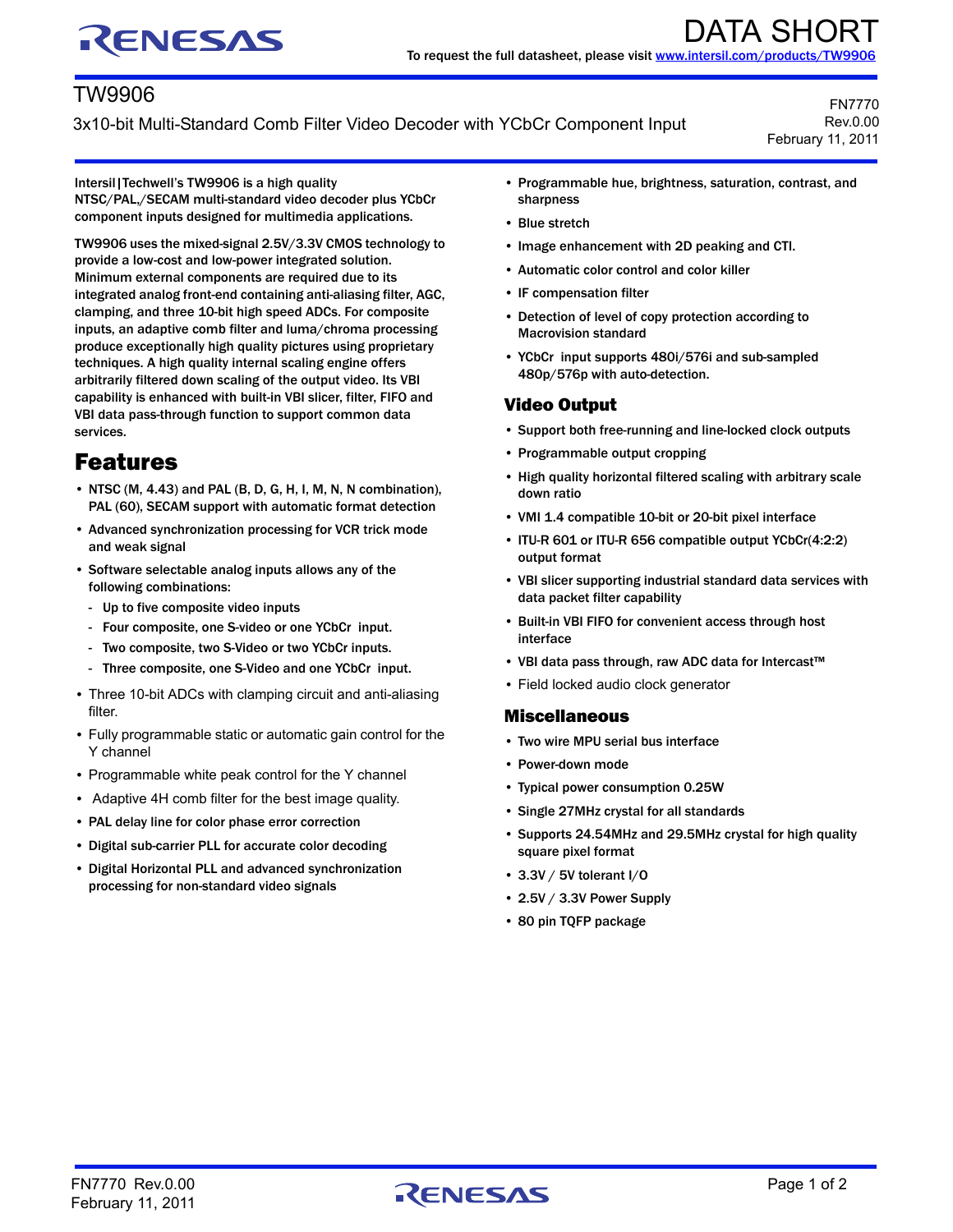# RENESAS

## TW9906

3x10-bit Multi-Standard Comb Filter Video Decoder with YCbCr Component Input

FN7770 Rev.0.00 February 11, 2011

Intersil|Techwell's TW9906 is a high quality NTSC/PAL,/SECAM multi-standard video decoder plus YCbCr component inputs designed for multimedia applications.

TW9906 uses the mixed-signal 2.5V/3.3V CMOS technology to provide a low-cost and low-power integrated solution. Minimum external components are required due to its integrated analog front-end containing anti-aliasing filter, AGC, clamping, and three 10-bit high speed ADCs. For composite inputs, an adaptive comb filter and luma/chroma processing produce exceptionally high quality pictures using proprietary techniques. A high quality internal scaling engine offers arbitrarily filtered down scaling of the output video. Its VBI capability is enhanced with built-in VBI slicer, filter, FIFO and VBI data pass-through function to support common data services.

## Features

- NTSC (M, 4.43) and PAL (B, D, G, H, I, M, N, N combination), PAL (60), SECAM support with automatic format detection
- Advanced synchronization processing for VCR trick mode and weak signal
- Software selectable analog inputs allows any of the following combinations:
	- Up to five composite video inputs
	- Four composite, one S-video or one YCbCr input.
	- Two composite, two S-Video or two YCbCr inputs.
	- Three composite, one S-Video and one YCbCr input.
- Three 10-bit ADCs with clamping circuit and anti-aliasing filter.
- Fully programmable static or automatic gain control for the Y channel
- Programmable white peak control for the Y channel
- Adaptive 4H comb filter for the best image quality.
- PAL delay line for color phase error correction
- Digital sub-carrier PLL for accurate color decoding
- Digital Horizontal PLL and advanced synchronization processing for non-standard video signals
- Programmable hue, brightness, saturation, contrast, and sharpness
- Blue stretch
- Image enhancement with 2D peaking and CTI.
- Automatic color control and color killer
- IF compensation filter
- Detection of level of copy protection according to Macrovision standard
- YCbCr input supports 480i/576i and sub-sampled 480p/576p with auto-detection.

### Video Output

- Support both free-running and line-locked clock outputs
- Programmable output cropping
- High quality horizontal filtered scaling with arbitrary scale down ratio
- VMI 1.4 compatible 10-bit or 20-bit pixel interface
- ITU-R 601 or ITU-R 656 compatible output YCbCr(4:2:2) output format
- VBI slicer supporting industrial standard data services with data packet filter capability
- Built-in VBI FIFO for convenient access through host interface
- VBI data pass through, raw ADC data for Intercast™
- Field locked audio clock generator

#### Miscellaneous

- Two wire MPU serial bus interface
- Power-down mode
- Typical power consumption 0.25W
- Single 27MHz crystal for all standards
- Supports 24.54MHz and 29.5MHz crystal for high quality square pixel format
- 3.3V / 5V tolerant I/O
- 2.5V / 3.3V Power Supply
- 80 pin TQFP package